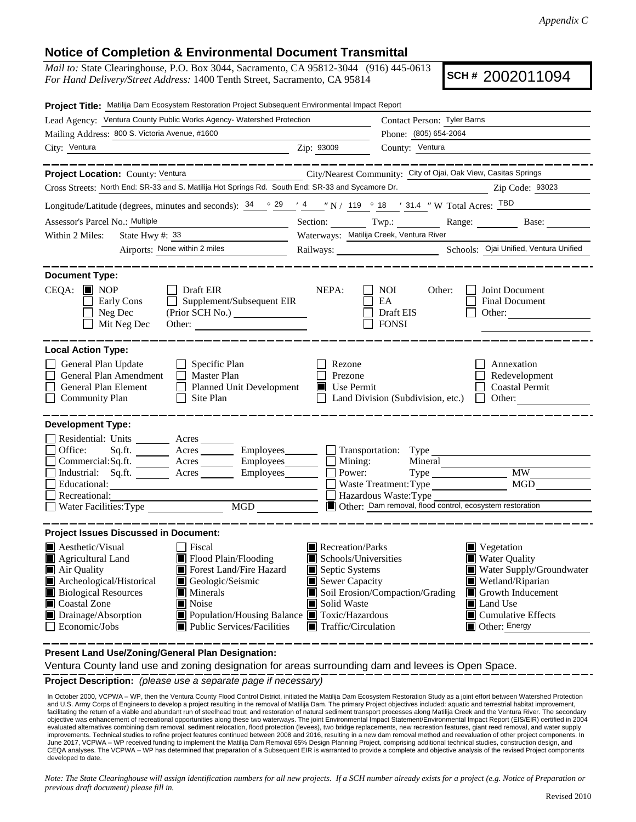## **Notice of Completion & Environmental Document Transmittal**

*Mail to:* State Clearinghouse, P.O. Box 3044, Sacramento, CA 95812-3044 (916) 445-0613 *For Hand Delivery/Street Address:* 1400 Tenth Street, Sacramento, CA 95814

**SCH #** 2002011094

| Project Title: Matilija Dam Ecosystem Restoration Project Subsequent Environmental Impact Report                                                                                                                                                                                                                                                                                      |                                                                                                                                                  |                                                                                                                                                                                                                                    |  |  |  |
|---------------------------------------------------------------------------------------------------------------------------------------------------------------------------------------------------------------------------------------------------------------------------------------------------------------------------------------------------------------------------------------|--------------------------------------------------------------------------------------------------------------------------------------------------|------------------------------------------------------------------------------------------------------------------------------------------------------------------------------------------------------------------------------------|--|--|--|
| Lead Agency: Ventura County Public Works Agency- Watershed Protection                                                                                                                                                                                                                                                                                                                 | Contact Person: Tyler Barns                                                                                                                      |                                                                                                                                                                                                                                    |  |  |  |
| Mailing Address: 800 S. Victoria Avenue, #1600                                                                                                                                                                                                                                                                                                                                        |                                                                                                                                                  | Phone: (805) 654-2064                                                                                                                                                                                                              |  |  |  |
| City: Ventura<br><u> 1989 - Johann Stein, mars an t-Amerikaansk kommunister (</u>                                                                                                                                                                                                                                                                                                     | Zip: 93009                                                                                                                                       | County: Ventura                                                                                                                                                                                                                    |  |  |  |
| ___________                                                                                                                                                                                                                                                                                                                                                                           |                                                                                                                                                  |                                                                                                                                                                                                                                    |  |  |  |
| Project Location: County: Ventura                                                                                                                                                                                                                                                                                                                                                     |                                                                                                                                                  | City/Nearest Community: City of Ojai, Oak View, Casitas Springs                                                                                                                                                                    |  |  |  |
| Cross Streets: North End: SR-33 and S. Matilija Hot Springs Rd. South End: SR-33 and Sycamore Dr.<br>Zip Code: 93023                                                                                                                                                                                                                                                                  |                                                                                                                                                  |                                                                                                                                                                                                                                    |  |  |  |
| Longitude/Latitude (degrees, minutes and seconds): $\frac{34}{9}$ $\frac{29}{14}$ $\frac{4}{19}$ N / 119 $\degree$ 18 $\degree$ 131.4 "W Total Acres: TBD                                                                                                                                                                                                                             |                                                                                                                                                  |                                                                                                                                                                                                                                    |  |  |  |
| Assessor's Parcel No.: Multiple                                                                                                                                                                                                                                                                                                                                                       |                                                                                                                                                  |                                                                                                                                                                                                                                    |  |  |  |
| State Hwy #: $33$<br>Within 2 Miles:                                                                                                                                                                                                                                                                                                                                                  | Waterways: Matilija Creek, Ventura River                                                                                                         |                                                                                                                                                                                                                                    |  |  |  |
| Airports: None within 2 miles                                                                                                                                                                                                                                                                                                                                                         |                                                                                                                                                  |                                                                                                                                                                                                                                    |  |  |  |
|                                                                                                                                                                                                                                                                                                                                                                                       |                                                                                                                                                  |                                                                                                                                                                                                                                    |  |  |  |
| <b>Document Type:</b><br>$CEQA:$ MOP<br>$\Box$ Draft EIR<br>$\Box$ Supplement/Subsequent EIR<br>Early Cons<br>Neg Dec<br>Mit Neg Dec<br>Other:                                                                                                                                                                                                                                        | NEPA:                                                                                                                                            | NOI<br>Other:<br>Joint Document<br>EA<br><b>Final Document</b><br>Draft EIS<br>Other:<br><b>FONSI</b>                                                                                                                              |  |  |  |
| <b>Local Action Type:</b>                                                                                                                                                                                                                                                                                                                                                             |                                                                                                                                                  |                                                                                                                                                                                                                                    |  |  |  |
| General Plan Update<br>$\Box$ Specific Plan<br>General Plan Amendment<br>Master Plan<br><b>General Plan Element</b><br>Planned Unit Development<br><b>Community Plan</b><br>Site Plan<br>$\Box$                                                                                                                                                                                       | Annexation<br>Rezone<br>Redevelopment<br>Prezone<br>Use Permit<br><b>Coastal Permit</b><br>Land Division (Subdivision, etc.) $\Box$ Other:       |                                                                                                                                                                                                                                    |  |  |  |
| <b>Development Type:</b>                                                                                                                                                                                                                                                                                                                                                              |                                                                                                                                                  |                                                                                                                                                                                                                                    |  |  |  |
| Residential: Units ________ Acres _______<br>Sq.ft. ________ Acres _________ Employees _______ _ _ Transportation: Type ____<br>Office:<br>$Commetrical:$ Sq.ft. $\overline{\qquad}$ Acres $\overline{\qquad}$ Employees $\overline{\qquad}$ Mining:<br>Industrial: Sq.ft. _______ Acres ________ Employees _______<br>Educational:<br>Recreational:<br>MGD<br>Water Facilities: Type | Power:                                                                                                                                           | Mineral<br><b>MW</b><br>MGD<br>Waste Treatment: Type<br>Hazardous Waste: Type<br>Other: Dam removal, flood control, ecosystem restoration                                                                                          |  |  |  |
| <b>Project Issues Discussed in Document:</b>                                                                                                                                                                                                                                                                                                                                          |                                                                                                                                                  |                                                                                                                                                                                                                                    |  |  |  |
| $\blacksquare$ Aesthetic/Visual<br><b>□</b> Fiscal<br>Agricultural Land<br>Flood Plain/Flooding<br>Forest Land/Fire Hazard<br>Air Quality<br>Archeological/Historical<br>Geologic/Seismic<br><b>Biological Resources</b><br>Minerals<br>Coastal Zone<br>Noise<br>Drainage/Absorption<br>Population/Housing Balance Toxic/Hazardous<br>Public Services/Facilities<br>Economic/Jobs     | Recreation/Parks<br>$\blacksquare$ Schools/Universities<br>Septic Systems<br>Sewer Capacity<br>Solid Waste<br>$\blacksquare$ Traffic/Circulation | $\blacksquare$ Vegetation<br><b>Water Quality</b><br>Water Supply/Groundwater<br>Wetland/Riparian<br>Soil Erosion/Compaction/Grading<br>$\blacksquare$ Growth Inducement<br>Land Use<br>$\Box$ Cumulative Effects<br>Other: Energy |  |  |  |

**Present Land Use/Zoning/General Plan Designation:**

Ventura County land use and zoning designation for areas surrounding dam and levees is Open Space.

**Project Description:** *(please use a separate page if necessary)*

 In October 2000, VCPWA – WP, then the Ventura County Flood Control District, initiated the Matilija Dam Ecosystem Restoration Study as a joint effort between Watershed Protection and U.S. Army Corps of Engineers to develop a project resulting in the removal of Matilija Dam. The primary Project objectives included: aquatic and terrestrial habitat improvement, facilitating the return of a viable and abundant run of steelhead trout; and restoration of natural sediment transport processes along Matilija Creek and the Ventura River. The secondary objective was enhancement of recreational opportunities along these two waterways. The joint Environmental Impact Statement/Environmental Impact Report (EIS/EIR) certified in 2004 evaluated alternatives combining dam removal, sediment relocation, flood protection (levees), two bridge replacements, new recreation features, giant reed removal, and water supply<br>improvements. Technical studies to refine June 2017, VCPWA – WP received funding to implement the Matilija Dam Removal 65% Design Planning Project, comprising additional technical studies, construction design, and CEQA analyses. The VCPWA – WP has determined that preparation of a Subsequent EIR is warranted to provide a complete and objective analysis of the revised Project components developed to date.

*Note: The State Clearinghouse will assign identification numbers for all new projects. If a SCH number already exists for a project (e.g. Notice of Preparation or previous draft document) please fill in.*